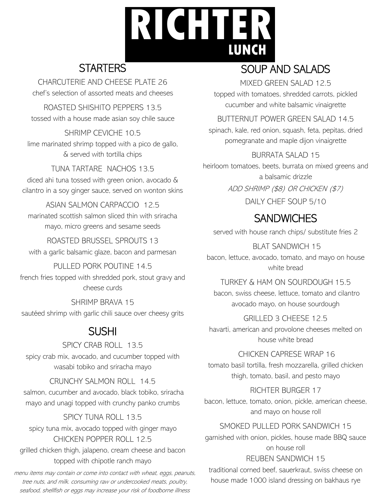# **RICHTER LUNCH**

# **STARTERS**

CHARCUTERIE AND CHEESE PLATE 26 chef's selection of assorted meats and cheeses

ROASTED SHISHITO PEPPERS 13.5 tossed with a house made asian soy chile sauce

SHRIMP CEVICHE 10.5 lime marinated shrimp topped with a pico de gallo, & served with tortilla chips

TUNA TARTARE NACHOS 13.5 diced ahi tuna tossed with green onion, avocado & cilantro in a soy ginger sauce, served on wonton skins

ASIAN SALMON CARPACCIO 12.5 marinated scottish salmon sliced thin with sriracha mayo, micro greens and sesame seeds

ROASTED BRUSSEL SPROUTS 13 with a garlic balsamic glaze, bacon and parmesan

PULLED PORK POUTINE 14.5 french fries topped with shredded pork, stout gravy and cheese curds

SHRIMP BRAVA 15 sautéed shrimp with garlic chili sauce over cheesy grits

# SUSHI

SPICY CRAB ROLL 13.5 spicy crab mix, avocado, and cucumber topped with wasabi tobiko and sriracha mayo

CRUNCHY SALMON ROLL 14.5 salmon, cucumber and avocado, black tobiko, sriracha mayo and unagi topped with crunchy panko crumbs

#### SPICY TUNA ROLL 13.5 spicy tuna mix, avocado topped with ginger mayo CHICKEN POPPER ROLL 12.5 grilled chicken thigh, jalapeno, cream cheese and bacon topped with chipotle ranch mayo

menu items may contain or come into contact with wheat, eggs, peanuts, tree nuts, and milk. consuming raw or undercooked meats, poultry, seafood, shellfish or eggs may increase your risk of foodborne illness

# SOUP AND SALADS

MIXED GREEN SALAD 12.5

topped with tomatoes, shredded carrots, pickled cucumber and white balsamic vinaigrette

BUTTERNUT POWER GREEN SALAD 14.5

spinach, kale, red onion, squash, feta, pepitas, dried pomegranate and maple dijon vinaigrette

## BURRATA SALAD 15

heirloom tomatoes, beets, burrata on mixed greens and a balsamic drizzle

ADD SHRIMP (\$8) OR CHICKEN (\$7)

DAILY CHEF SOUP 5/10

# **SANDWICHES**

served with house ranch chips/ substitute fries 2

## BLAT SANDWICH 15

bacon, lettuce, avocado, tomato, and mayo on house white bread

TURKEY & HAM ON SOURDOUGH 15.5 bacon, swiss cheese, lettuce, tomato and cilantro

avocado mayo, on house sourdough

## GRILLED 3 CHEESE 12.5

havarti, american and provolone cheeses melted on house white bread

#### CHICKEN CAPRESE WRAP 16

tomato basil tortilla, fresh mozzarella, grilled chicken thigh, tomato, basil, and pesto mayo

RICHTER BURGER 17

bacon, lettuce, tomato, onion, pickle, american cheese, and mayo on house roll

### SMOKED PULLED PORK SANDWICH 15

garnished with onion, pickles, house made BBQ sauce on house roll REUBEN SANDWICH 15

traditional corned beef, sauerkraut, swiss cheese on house made 1000 island dressing on bakhaus rye